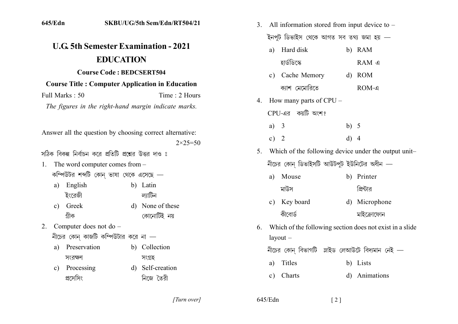| 645/Edn                                                                                 |                                        | SKBU/UG/5th Sem/Edn/RT504/21                | 3. |                                                                | All information stored from input device to $-$ |        |               |  |
|-----------------------------------------------------------------------------------------|----------------------------------------|---------------------------------------------|----|----------------------------------------------------------------|-------------------------------------------------|--------|---------------|--|
|                                                                                         |                                        |                                             |    |                                                                | ইনপুট ডিভাইস থেকে আগত সব তথ্য জমা হয় —         |        |               |  |
|                                                                                         |                                        | <b>U.G. 5th Semester Examination - 2021</b> |    | a)                                                             | Hard disk                                       |        | b) RAM        |  |
|                                                                                         | <b>EDUCATION</b>                       |                                             |    |                                                                | হার্ডডিস্কে                                     |        | RAM এ         |  |
|                                                                                         | <b>Course Code: BEDCSERT504</b>        |                                             |    | c)                                                             | Cache Memory                                    |        | d) ROM        |  |
| <b>Course Title: Computer Application in Education</b>                                  |                                        |                                             |    |                                                                | ক্যাশ মেমোরিতে                                  |        | ROM-4         |  |
| Full Marks: 50<br>Time: 2 Hours<br>The figures in the right-hand margin indicate marks. |                                        |                                             |    |                                                                | 4. How many parts of $CPU -$                    |        |               |  |
|                                                                                         |                                        |                                             |    | CPU-এর কয়টি অংশ?                                              |                                                 |        |               |  |
| Answer all the question by choosing correct alternative:<br>$2 \times 25 = 50$          |                                        |                                             |    | a)                                                             | $\overline{\mathbf{3}}$                         | b) $5$ |               |  |
|                                                                                         |                                        |                                             |    | c) $2$                                                         |                                                 | $d)$ 4 |               |  |
| সঠিক বিকল্প নির্বাচন করে প্রতিটি প্রশ্নের উত্তর দাও ঃ                                   |                                        |                                             | 5. | Which of the following device under the output unit-           |                                                 |        |               |  |
| The word computer comes from -<br>1.                                                    |                                        |                                             |    | নীচের কোন্ ডিভাইসটি আউটপুট ইউনিটের অধীন —                      |                                                 |        |               |  |
|                                                                                         | কম্পিউটর শব্দটি কোন্ ভাষা থেকে এসেছে — |                                             |    | a)                                                             | Mouse                                           |        | b) Printer    |  |
| English<br>a)<br>ইংরেজী                                                                 |                                        | b) Latin<br>ল্যাটিন                         |    |                                                                | মাউস                                            |        | প্রিন্টার     |  |
| Greek<br>$\mathbf{c})$                                                                  |                                        | d) None of these                            |    | $\mathbf{c})$                                                  | Key board                                       |        | d) Microphone |  |
| গ্ৰীক                                                                                   |                                        | কোনোটিই নয়                                 |    |                                                                | কীবোর্ড                                         |        | মাইক্ৰোফোন    |  |
| Computer does not do -<br>2.                                                            |                                        |                                             |    | Which of the following section does not exist in a slide<br>6. |                                                 |        |               |  |
| নীচের কোন্ কাজটি কম্পিউটার করে না $-$                                                   |                                        |                                             |    |                                                                | $l$ ayout $-$                                   |        |               |  |
| Preservation<br>a)                                                                      |                                        | b) Collection                               |    |                                                                | নীচের কোন্ বিভাগটি স্লাইড লেআউটে বিদ্যমান নেই — |        |               |  |
| সংরক্ষণ                                                                                 |                                        | সংগ্ৰহ                                      |    | a)                                                             | Titles                                          |        | b) Lists      |  |
| Processing<br>$\mathbf{c})$<br>প্রসেসিং                                                 |                                        | d) Self-creation<br>নিজে তৈরী               |    | $\mathbf{c})$                                                  | Charts                                          |        | d) Animations |  |
|                                                                                         |                                        |                                             |    |                                                                |                                                 |        |               |  |

[Turn over]

 $645/\mathrm{Edn}$ 

 $\left[\begin{smallmatrix} 2 \end{smallmatrix}\right]$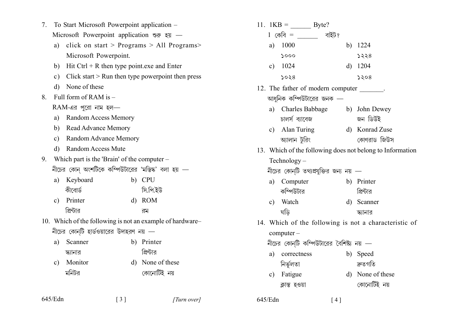|  | 7. To Start Microsoft Powerpoint application –                                                                            |  |  |
|--|---------------------------------------------------------------------------------------------------------------------------|--|--|
|  | Microsoft Powerpoint application $\mathcal{F}$ $\overline{\mathcal{F}}$ $\overline{\mathcal{F}}$ $\overline{\mathcal{F}}$ |  |  |

- click on start > Programs > All Programs >  $a)$ Microsoft Powerpoint.
- b) Hit Ctrl + R then type point exe and Enter
- c) Click start  $>$  Run then type powerpoint then press
- d) None of these
- 8 Full form of  $RAM$  is  $-$

 $RAM-43$  পুরো নাম হল—

- a) Random Access Memory
- b) Read Advance Memory
- c) Random Advance Memory
- **Random Access Mute**  $d)$
- 9. Which part is the 'Brain' of the computer  $-$ নীচের কোন অংশটিকে কম্পিউটারের 'মস্তিষ্ক' বলা হয়
	- a) Keyboard b) CPU কীবোর্ড সি.পি.ইউ
	- Printer  $d)$  ROM  $c)$ প্রিন্টার রম
- 10. Which of the following is not an example of hardware-নীচের কোন্টি হার্ডওয়ারের উদাহরণ নয়  $-$

| a) Scanner | b) Printer |
|------------|------------|
| স্ক্যানার  | প্রিন্টার  |

Monitor d) None of these  $c)$ মনিটর কোনোটিই নয়

| 645/Edn |
|---------|
|---------|

11.  $1KB = B$  vte?  $1 \overline{G}$ কবি = বাইট? a)  $1000$ b)  $1224$  $5000$  $5228$ c)  $1024$  $d)$  1204  $5028$  $5208$ 12. The father of modern computer \_\_\_\_\_\_\_\_. আধনিক কম্পিউটারের জনক a) Charles Babbage b) John Dewey চালর্স ব্যাবেজ জন ডিউই c) Alan Turing d) Konrad Zuse আলান টরিং কোণরাড জিউস 13. Which of the following does not belong to Information Technology  $-$ নীচের কোন্টি তথ্যপ্রযুক্তির জন্য নয়  $$ a) Computer b) Printer কম্পিউটার প্রিন্টাব Watch d) Scanner  $c)$ ঘডি স্ক্যানার 14. Which of the following is not a characteristic of  $computer -$ নীচের কোনটি কম্পিউটারের বৈশিষ্ট্য নয় a) correctness b) Speed

- নিৰ্ভূলতা দ্রুতগতি
- d) None of these c) Fatigue কোনোটিই নয় ক্লান্ত হওয়া

 $645/Edn$ 

 $\lceil 4 \rceil$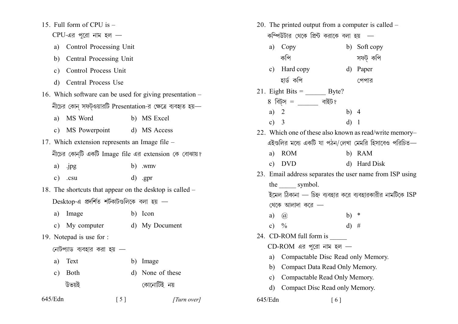15. Full form of CPU is  $-$ 

```
CPU-এর পুরো নাম হল -
```
- a) Control Processing Unit
- Central Processing Unit  $b)$
- Control Process Unit  $c)$
- d) Central Process Use
- 16. Which software can be used for giving presentation নীচের কোন সফটওয়ারটি Presentation-র ক্ষেত্রে ব্যবহৃত হয়
	- a) MS Word b) MS Excel
	- c) MS Powerpoint d) MS Access
- 17. Which extension represents an Image file  $-$ নীচের কোন্টি একটি Image file এর extension কে বোঝায়?
	- .jpg  $b)$  .wmv a)
	- $d)$  .gpr  $c)$  .csu
- 18. The shortcuts that appear on the desktop is called  $Desktop-4$  প্রদর্শিত শর্টকাটগুলিকে বলা হয় —
	- Image b) Icon  $a)$
	- My computer d) My Document  $c)$
- 19. Notepad is use for :
	- নোটপ্যাড ব্যবহার করা হয় –
	- a) Text b) Image
	- d) None of these c) Both উভয়ই কোনোটিই নয়

 $[5]$ 

[Turn over]

| 20. The printed output from a computer is called –       |                                                          |              |              |  |  |  |
|----------------------------------------------------------|----------------------------------------------------------|--------------|--------------|--|--|--|
|                                                          | কম্পিউটার থেকে প্রিন্ট করাকে বলা হয়                     |              |              |  |  |  |
|                                                          | a) Copy                                                  |              | b) Soft copy |  |  |  |
|                                                          | কপি                                                      |              | সফট কপি      |  |  |  |
|                                                          | c) Hard copy                                             |              | d) Paper     |  |  |  |
|                                                          | হাৰ্ড কপি                                                |              | পেপার        |  |  |  |
|                                                          | 21. Eight Bits = $\_\_\_\_\_\$ Byte?                     |              |              |  |  |  |
|                                                          | 8 বিট্স = ______ বাইট?                                   |              |              |  |  |  |
| a)                                                       | 2                                                        | b) $4$       |              |  |  |  |
| $\mathbf{c})$                                            | $\overline{\phantom{a}}$                                 | d) 1         |              |  |  |  |
|                                                          | 22. Which one of these also known as read/write memory-  |              |              |  |  |  |
|                                                          | এইগুলির মধ্যে একটি যা পঠন/লেখা মেমরি হিসাবেও পরিচিত—     |              |              |  |  |  |
| a)                                                       | <b>ROM</b>                                               |              | b) RAM       |  |  |  |
| $\mathbf{c})$                                            | <b>DVD</b>                                               |              | d) Hard Disk |  |  |  |
|                                                          | 23. Email address separates the user name from ISP using |              |              |  |  |  |
|                                                          | the ______ symbol.                                       |              |              |  |  |  |
| ইমেল ঠিকানা — চিহ্ন ব্যবহার করে ব্যবহারকারীর নামটিকে ISP |                                                          |              |              |  |  |  |
|                                                          | থেকে আলাদা করে —                                         |              |              |  |  |  |
| a)                                                       | $\mathcal{D}_{\mathcal{A}}$                              | b)           | $\ast$       |  |  |  |
| $\mathbf{c})$                                            | $\frac{0}{0}$                                            | $\mathbf{d}$ | - #          |  |  |  |
|                                                          | 24. CD-ROM full form is                                  |              |              |  |  |  |
| $CD$ -ROM এর পুরো নাম হল —                               |                                                          |              |              |  |  |  |
| a)                                                       | Compactable Disc Read only Memory.                       |              |              |  |  |  |
| b)                                                       | Compact Data Read Only Memory.                           |              |              |  |  |  |
| $\mathbf{c})$                                            | Compactable Read Only Memory.                            |              |              |  |  |  |
| $\mathbf{d}$                                             | Compact Disc Read only Memory.                           |              |              |  |  |  |
| 645/Edn                                                  | [6]                                                      |              |              |  |  |  |